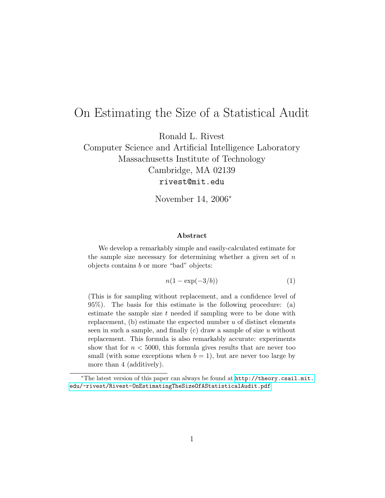# On Estimating the Size of a Statistical Audit

Ronald L. Rivest

Computer Science and Artificial Intelligence Laboratory Massachusetts Institute of Technology Cambridge, MA 02139 rivest@mit.edu

November 14, 2006<sup>∗</sup>

#### Abstract

We develop a remarkably simple and easily-calculated estimate for the sample size necessary for determining whether a given set of  $n$ objects contains b or more "bad" objects:

$$
n(1 - \exp(-3/b))\tag{1}
$$

(This is for sampling without replacement, and a confidence level of 95%). The basis for this estimate is the following procedure: (a) estimate the sample size  $t$  needed if sampling were to be done with replacement,  $(b)$  estimate the expected number  $u$  of distinct elements seen in such a sample, and finally  $(c)$  draw a sample of size u without replacement. This formula is also remarkably accurate: experiments show that for  $n < 5000$ , this formula gives results that are never too small (with some exceptions when  $b = 1$ ), but are never too large by more than 4 (additively).

<sup>∗</sup>The latest version of this paper can always be found at [http://theory.csail.mit.](http://theory.csail.mit.edu/~rivest/Rivest-OnEstimatingTheSizeOfAStatisticalAudit.pdf) [edu/~rivest/Rivest-OnEstimatingTheSizeOfAStatisticalAudit.pdf](http://theory.csail.mit.edu/~rivest/Rivest-OnEstimatingTheSizeOfAStatisticalAudit.pdf)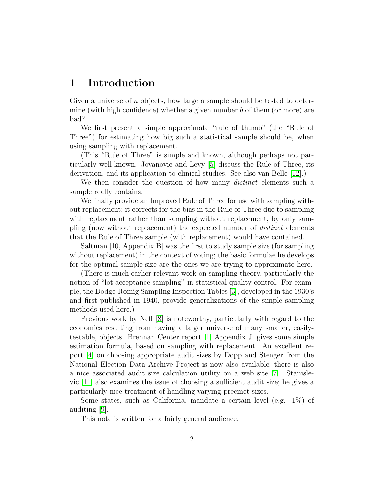## 1 Introduction

Given a universe of n objects, how large a sample should be tested to determine (with high confidence) whether a given number  $b$  of them (or more) are bad?

We first present a simple approximate "rule of thumb" (the "Rule of Three") for estimating how big such a statistical sample should be, when using sampling with replacement.

(This "Rule of Three" is simple and known, although perhaps not particularly well-known. Jovanovic and Levy [5] discuss the Rule of Three, its derivation, and its application to clinical studies. See also van Belle [12].)

We then consider the question of how many *distinct* elements such a sample really contains.

We finally provide an Improved Rule of Three for use with sampling without replacement; it corrects for the bias in the Rule of Three due to sampling with replacement rather than sampling without replacement, by only sampling (now without replacement) the expected number of distinct elements that the Rule of Three sample (with replacement) would have contained.

Saltman [10, Appendix B] was the first to study sample size (for sampling without replacement) in the context of voting; the basic formulae he develops for the optimal sample size are the ones we are trying to approximate here.

(There is much earlier relevant work on sampling theory, particularly the notion of "lot acceptance sampling" in statistical quality control. For example, the Dodge-Romig Sampling Inspection Tables [3], developed in the 1930's and first published in 1940, provide generalizations of the simple sampling methods used here.)

Previous work by Neff [8] is noteworthy, particularly with regard to the economies resulting from having a larger universe of many smaller, easilytestable, objects. Brennan Center report [1, Appendix J] gives some simple estimation formula, based on sampling with replacement. An excellent report [4] on choosing appropriate audit sizes by Dopp and Stenger from the National Election Data Archive Project is now also available; there is also a nice associated audit size calculation utility on a web site [7]. Stanislevic [11] also examines the issue of choosing a sufficient audit size; he gives a particularly nice treatment of handling varying precinct sizes.

Some states, such as California, mandate a certain level (e.g. 1%) of auditing [9].

This note is written for a fairly general audience.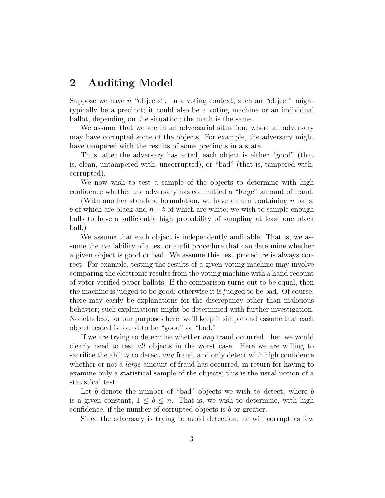## 2 Auditing Model

Suppose we have  $n$  "objects". In a voting context, such an "object" might typically be a precinct; it could also be a voting machine or an individual ballot, depending on the situation; the math is the same.

We assume that we are in an adversarial situation, where an adversary may have corrupted some of the objects. For example, the adversary might have tampered with the results of some precincts in a state.

Thus, after the adversary has acted, each object is either "good" (that is, clean, untampered with, uncorrupted), or "bad" (that is, tampered with, corrupted).

We now wish to test a sample of the objects to determine with high confidence whether the adversary has committed a "large" amount of fraud.

(With another standard formulation, we have an urn containing  $n$  balls, b of which are black and  $n - b$  of which are white; we wish to sample enough balls to have a sufficiently high probability of sampling at least one black ball.)

We assume that each object is independently auditable. That is, we assume the availability of a test or audit procedure that can determine whether a given object is good or bad. We assume this test procedure is always correct. For example, testing the results of a given voting machine may involve comparing the electronic results from the voting machine with a hand recount of voter-verified paper ballots. If the comparison turns out to be equal, then the machine is judged to be good; otherwise it is judged to be bad. Of course, there may easily be explanations for the discrepancy other than malicious behavior; such explanations might be determined with further investigation. Nonetheless, for our purposes here, we'll keep it simple and assume that each object tested is found to be "good" or "bad."

If we are trying to determine whether *any* fraud occurred, then we would clearly need to test all objects in the worst case. Here we are willing to sacrifice the ability to detect any fraud, and only detect with high confidence whether or not a *large* amount of fraud has occurred, in return for having to examine only a statistical sample of the objects; this is the usual notion of a statistical test.

Let b denote the number of "bad" objects we wish to detect, where  $b$ is a given constant,  $1 \leq b \leq n$ . That is, we wish to determine, with high confidence, if the number of corrupted objects is b or greater.

Since the adversary is trying to avoid detection, he will corrupt as few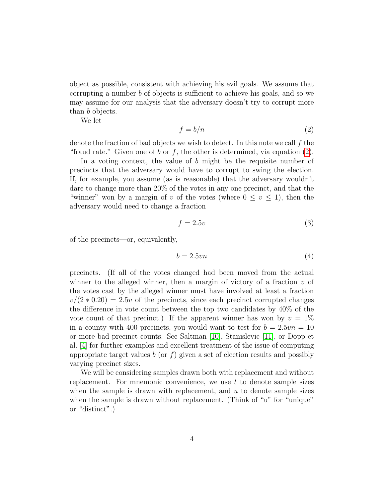object as possible, consistent with achieving his evil goals. We assume that corrupting a number b of objects is sufficient to achieve his goals, and so we may assume for our analysis that the adversary doesn't try to corrupt more than b objects.

We let

$$
f = b/n \tag{2}
$$

denote the fraction of bad objects we wish to detect. In this note we call  $f$  the "fraud rate." Given one of b or f, the other is determined, via equation  $(2)$ .

In a voting context, the value of  $b$  might be the requisite number of precincts that the adversary would have to corrupt to swing the election. If, for example, you assume (as is reasonable) that the adversary wouldn't dare to change more than 20% of the votes in any one precinct, and that the "winner" won by a margin of v of the votes (where  $0 \le v \le 1$ ), then the adversary would need to change a fraction

$$
f = 2.5v\tag{3}
$$

of the precincts—or, equivalently,

$$
b = 2.5vn \tag{4}
$$

precincts. (If all of the votes changed had been moved from the actual winner to the alleged winner, then a margin of victory of a fraction  $v$  of the votes cast by the alleged winner must have involved at least a fraction  $v/(2 * 0.20) = 2.5v$  of the precincts, since each precinct corrupted changes the difference in vote count between the top two candidates by 40% of the vote count of that precinct.) If the apparent winner has won by  $v = 1\%$ in a county with 400 precincts, you would want to test for  $b = 2.5vn = 10$ or more bad precinct counts. See Saltman [10], Stanislevic [11], or Dopp et al. [4] for further examples and excellent treatment of the issue of computing appropriate target values b (or f) given a set of election results and possibly varying precinct sizes.

We will be considering samples drawn both with replacement and without replacement. For mnemonic convenience, we use  $t$  to denote sample sizes when the sample is drawn with replacement, and  $u$  to denote sample sizes when the sample is drawn without replacement. (Think of "u" for "unique" or "distinct".)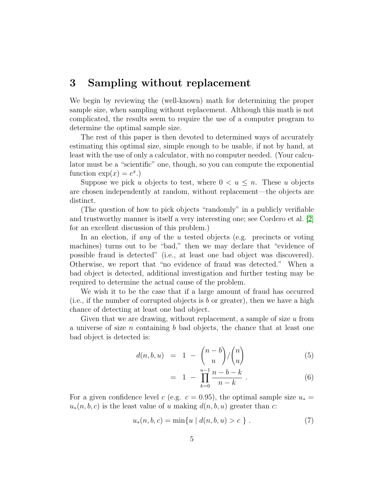## 3 Sampling without replacement

We begin by reviewing the (well-known) math for determining the proper sample size, when sampling without replacement. Although this math is not complicated, the results seem to require the use of a computer program to determine the optimal sample size.

The rest of this paper is then devoted to determined ways of accurately estimating this optimal size, simple enough to be usable, if not by hand, at least with the use of only a calculator, with no computer needed. (Your calculator must be a "scientific" one, though, so you can compute the exponential function  $\exp(x) = e^x$ .

Suppose we pick u objects to test, where  $0 < u \leq n$ . These u objects are chosen independently at random, without replacement—the objects are distinct.

(The question of how to pick objects "randomly" in a publicly verifiable and trustworthy manner is itself a very interesting one; see Cordero et al. [2] for an excellent discussion of this problem.)

In an election, if any of the u tested objects (e.g. precincts or voting machines) turns out to be "bad," then we may declare that "evidence of possible fraud is detected" (i.e., at least one bad object was discovered). Otherwise, we report that "no evidence of fraud was detected." When a bad object is detected, additional investigation and further testing may be required to determine the actual cause of the problem.

We wish it to be the case that if a large amount of fraud has occurred (i.e., if the number of corrupted objects is  $b$  or greater), then we have a high chance of detecting at least one bad object.

Given that we are drawing, without replacement, a sample of size u from a universe of size n containing b bad objects, the chance that at least one bad object is detected is:

$$
d(n, b, u) = 1 - {n - b \choose u} / {n \choose u}
$$
 (5)

$$
= 1 - \prod_{k=0}^{u-1} \frac{n-b-k}{n-k} . \tag{6}
$$

For a given confidence level c (e.g.  $c = 0.95$ ), the optimal sample size  $u_* =$  $u_*(n, b, c)$  is the least value of u making  $d(n, b, u)$  greater than c:

$$
u_*(n, b, c) = \min\{u \mid d(n, b, u) > c\}.
$$
 (7)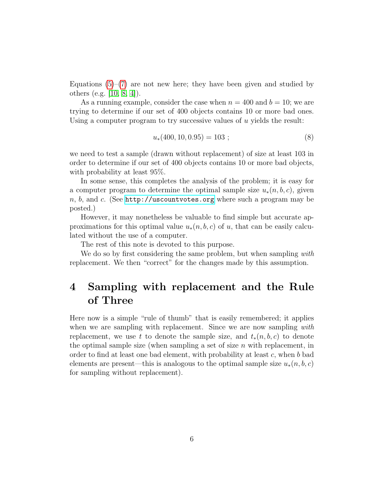Equations  $(5)-(7)$  are not new here; they have been given and studied by others (e.g. [10, 8, 4]).

As a running example, consider the case when  $n = 400$  and  $b = 10$ ; we are trying to determine if our set of 400 objects contains 10 or more bad ones. Using a computer program to try successive values of u yields the result:

$$
u_*(400, 10, 0.95) = 103 ; \t(8)
$$

we need to test a sample (drawn without replacement) of size at least 103 in order to determine if our set of 400 objects contains 10 or more bad objects, with probability at least 95%.

In some sense, this completes the analysis of the problem; it is easy for a computer program to determine the optimal sample size  $u_*(n, b, c)$ , given  $n, b, \text{ and } c.$  (See <http://uscountvotes.org> where such a program may be posted.)

However, it may nonetheless be valuable to find simple but accurate approximations for this optimal value  $u_*(n, b, c)$  of u, that can be easily calculated without the use of a computer.

The rest of this note is devoted to this purpose.

We do so by first considering the same problem, but when sampling with replacement. We then "correct" for the changes made by this assumption.

## 4 Sampling with replacement and the Rule of Three

Here now is a simple "rule of thumb" that is easily remembered; it applies when we are sampling with replacement. Since we are now sampling with replacement, we use t to denote the sample size, and  $t_*(n, b, c)$  to denote the optimal sample size (when sampling a set of size  $n$  with replacement, in order to find at least one bad element, with probability at least  $c$ , when  $b$  bad elements are present—this is analogous to the optimal sample size  $u_*(n, b, c)$ for sampling without replacement).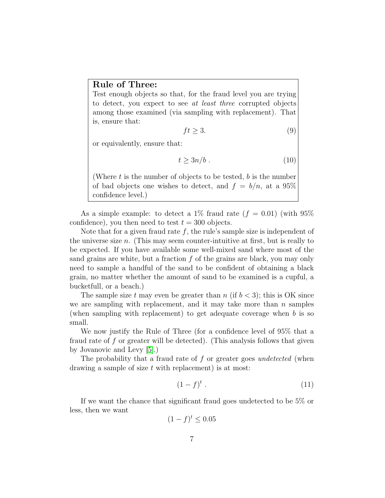#### Rule of Three:

Test enough objects so that, for the fraud level you are trying to detect, you expect to see at least three corrupted objects among those examined (via sampling with replacement). That is, ensure that:

$$
ft \ge 3. \tag{9}
$$

or equivalently, ensure that:

$$
t \ge 3n/b \tag{10}
$$

(Where  $t$  is the number of objects to be tested,  $b$  is the number of bad objects one wishes to detect, and  $f = b/n$ , at a 95% confidence level.)

As a simple example: to detect a 1\% fraud rate  $(f = 0.01)$  (with 95\%) confidence), you then need to test  $t = 300$  objects.

Note that for a given fraud rate  $f$ , the rule's sample size is independent of the universe size  $n$ . (This may seem counter-intuitive at first, but is really to be expected. If you have available some well-mixed sand where most of the sand grains are white, but a fraction  $f$  of the grains are black, you may only need to sample a handful of the sand to be confident of obtaining a black grain, no matter whether the amount of sand to be examined is a cupful, a bucketfull, or a beach.)

The sample size t may even be greater than n (if  $b < 3$ ); this is OK since we are sampling with replacement, and it may take more than  $n$  samples (when sampling with replacement) to get adequate coverage when b is so small.

We now justify the Rule of Three (for a confidence level of 95% that a fraud rate of f or greater will be detected). (This analysis follows that given by Jovanovic and Levy [5].)

The probability that a fraud rate of f or greater goes *undetected* (when drawing a sample of size  $t$  with replacement) is at most:

$$
(1-f)^t \tag{11}
$$

If we want the chance that significant fraud goes undetected to be 5% or less, then we want

$$
(1-f)^t \le 0.05
$$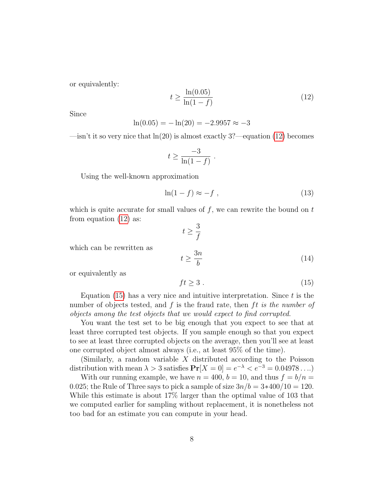or equivalently:

$$
t \ge \frac{\ln(0.05)}{\ln(1-f)}\tag{12}
$$

Since

$$
\ln(0.05) = -\ln(20) = -2.9957 \approx -3
$$

—isn't it so very nice that  $ln(20)$  is almost exactly 3?—equation (12) becomes

$$
t \geq \frac{-3}{\ln(1-f)} \; .
$$

Using the well-known approximation

$$
\ln(1-f) \approx -f \tag{13}
$$

which is quite accurate for small values of  $f$ , we can rewrite the bound on  $t$ from equation (12) as:

$$
t\geq \frac{3}{f}
$$

which can be rewritten as

$$
t \ge \frac{3n}{b} \tag{14}
$$

or equivalently as

$$
ft \ge 3. \tag{15}
$$

Equation (15) has a very nice and intuitive interpretation. Since  $t$  is the number of objects tested, and  $f$  is the fraud rate, then  $ft$  is the number of objects among the test objects that we would expect to find corrupted.

You want the test set to be big enough that you expect to see that at least three corrupted test objects. If you sample enough so that you expect to see at least three corrupted objects on the average, then you'll see at least one corrupted object almost always (i.e., at least 95% of the time).

(Similarly, a random variable  $X$  distributed according to the Poisson distribution with mean  $\lambda > 3$  satisfies  $Pr[X = 0] = e^{-\lambda} < e^{-3} = 0.04978...$ 

With our running example, we have  $n = 400$ ,  $b = 10$ , and thus  $f = b/n =$ 0.025; the Rule of Three says to pick a sample of size  $3n/b = 3*400/10 = 120$ . While this estimate is about 17% larger than the optimal value of 103 that we computed earlier for sampling without replacement, it is nonetheless not too bad for an estimate you can compute in your head.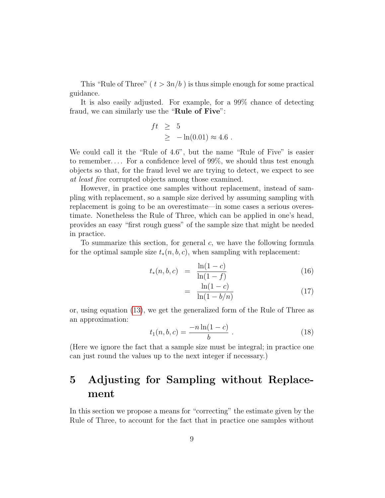This "Rule of Three" ( $t > 3n/b$ ) is thus simple enough for some practical guidance.

It is also easily adjusted. For example, for a 99% chance of detecting fraud, we can similarly use the "Rule of Five":

$$
ft \geq 5
$$
  

$$
\geq -\ln(0.01) \approx 4.6.
$$

We could call it the "Rule of 4.6", but the name "Rule of Five" is easier to remember. . . . For a confidence level of 99%, we should thus test enough objects so that, for the fraud level we are trying to detect, we expect to see at least five corrupted objects among those examined.

However, in practice one samples without replacement, instead of sampling with replacement, so a sample size derived by assuming sampling with replacement is going to be an overestimate—in some cases a serious overestimate. Nonetheless the Rule of Three, which can be applied in one's head, provides an easy "first rough guess" of the sample size that might be needed in practice.

To summarize this section, for general  $c$ , we have the following formula for the optimal sample size  $t_*(n, b, c)$ , when sampling with replacement:

$$
t_*(n, b, c) = \frac{\ln(1 - c)}{\ln(1 - f)}
$$
\n(16)

$$
= \frac{\ln(1-c)}{\ln(1-b/n)}
$$
(17)

or, using equation (13), we get the generalized form of the Rule of Three as an approximation:

$$
t_1(n,b,c) = \frac{-n\ln(1-c)}{b} \ . \tag{18}
$$

(Here we ignore the fact that a sample size must be integral; in practice one can just round the values up to the next integer if necessary.)

## 5 Adjusting for Sampling without Replacement

In this section we propose a means for "correcting" the estimate given by the Rule of Three, to account for the fact that in practice one samples without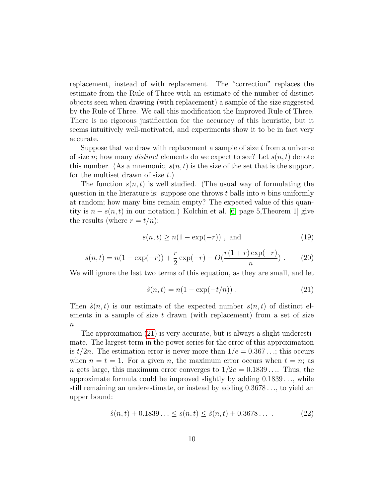replacement, instead of with replacement. The "correction" replaces the estimate from the Rule of Three with an estimate of the number of distinct objects seen when drawing (with replacement) a sample of the size suggested by the Rule of Three. We call this modification the Improved Rule of Three. There is no rigorous justification for the accuracy of this heuristic, but it seems intuitively well-motivated, and experiments show it to be in fact very accurate.

Suppose that we draw with replacement a sample of size  $t$  from a universe of size n; how many *distinct* elements do we expect to see? Let  $s(n, t)$  denote this number. (As a mnemonic,  $s(n, t)$  is the size of the set that is the support for the multiset drawn of size  $t$ .)

The function  $s(n, t)$  is well studied. (The usual way of formulating the question in the literature is: suppose one throws  $t$  balls into  $n$  bins uniformly at random; how many bins remain empty? The expected value of this quantity is  $n - s(n, t)$  in our notation.) Kolchin et al. [6, page 5, Theorem 1] give the results (where  $r = t/n$ ):

$$
s(n,t) \ge n(1 - \exp(-r)), \text{ and} \tag{19}
$$

$$
s(n,t) = n(1 - \exp(-r)) + \frac{r}{2}\exp(-r) - O(\frac{r(1+r)\exp(-r)}{n}).
$$
 (20)

We will ignore the last two terms of this equation, as they are small, and let

$$
\hat{s}(n,t) = n(1 - \exp(-t/n)) . \tag{21}
$$

Then  $\hat{s}(n, t)$  is our estimate of the expected number  $s(n, t)$  of distinct elements in a sample of size  $t$  drawn (with replacement) from a set of size  $\boldsymbol{n}$ .

The approximation (21) is very accurate, but is always a slight underestimate. The largest term in the power series for the error of this approximation is  $t/2n$ . The estimation error is never more than  $1/e = 0.367...$ ; this occurs when  $n = t = 1$ . For a given n, the maximum error occurs when  $t = n$ ; as n gets large, this maximum error converges to  $1/2e = 0.1839...$  Thus, the approximate formula could be improved slightly by adding  $0.1839\dots$ , while still remaining an underestimate, or instead by adding 0.3678 . . ., to yield an upper bound:

$$
\hat{s}(n,t) + 0.1839... \le s(n,t) \le \hat{s}(n,t) + 0.3678... \tag{22}
$$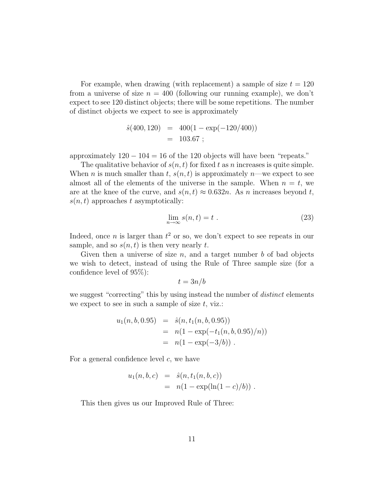For example, when drawing (with replacement) a sample of size  $t = 120$ from a universe of size  $n = 400$  (following our running example), we don't expect to see 120 distinct objects; there will be some repetitions. The number of distinct objects we expect to see is approximately

$$
\hat{s}(400, 120) = 400(1 - \exp(-120/400))
$$
  
= 103.67 ;

approximately  $120 - 104 = 16$  of the 120 objects will have been "repeats."

The qualitative behavior of  $s(n, t)$  for fixed t as n increases is quite simple. When n is much smaller than t,  $s(n, t)$  is approximately n—we expect to see almost all of the elements of the universe in the sample. When  $n = t$ , we are at the knee of the curve, and  $s(n, t) \approx 0.632n$ . As n increases beyond t,  $s(n, t)$  approaches t asymptotically:

$$
\lim_{n \to \infty} s(n, t) = t \tag{23}
$$

Indeed, once *n* is larger than  $t^2$  or so, we don't expect to see repeats in our sample, and so  $s(n, t)$  is then very nearly t.

Given then a universe of size  $n$ , and a target number  $b$  of bad objects we wish to detect, instead of using the Rule of Three sample size (for a confidence level of 95%):

$$
t = 3n/b
$$

we suggest "correcting" this by using instead the number of *distinct* elements we expect to see in such a sample of size  $t$ , viz.:

$$
u_1(n, b, 0.95) = \hat{s}(n, t_1(n, b, 0.95))
$$
  
=  $n(1 - \exp(-t_1(n, b, 0.95)/n))$   
=  $n(1 - \exp(-3/b))$ .

For a general confidence level  $c$ , we have

$$
u_1(n, b, c) = \hat{s}(n, t_1(n, b, c))
$$
  
=  $n(1 - \exp(\ln(1 - c)/b))$ .

This then gives us our Improved Rule of Three: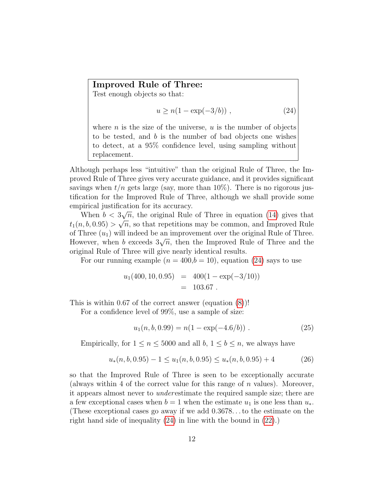#### Improved Rule of Three:

Test enough objects so that:

$$
u \ge n(1 - \exp(-3/b)), \qquad (24)
$$

where  $n$  is the size of the universe,  $u$  is the number of objects to be tested, and b is the number of bad objects one wishes to detect, at a 95% confidence level, using sampling without replacement.

Although perhaps less "intuitive" than the original Rule of Three, the Improved Rule of Three gives very accurate guidance, and it provides significant savings when  $t/n$  gets large (say, more than  $10\%$ ). There is no rigorous justification for the Improved Rule of Three, although we shall provide some empirical justification for its accuracy.

When  $b < 3\sqrt{n}$ , the original Rule of Three in equation (14) gives that  $t_1(n, b, 0.95) > \sqrt{n}$ , so that repetitions may be common, and Improved Rule of Three  $(u_1)$  will indeed be an improvement over the original Rule of Three. of Time ( $a_1$ ) will indeed be an improvement over the original rule of Three.<br>However, when b exceeds  $3\sqrt{n}$ , then the Improved Rule of Three and the original Rule of Three will give nearly identical results.

For our running example  $(n = 400,b = 10)$ , equation (24) says to use

$$
u_1(400, 10, 0.95) = 400(1 - \exp(-3/10))
$$
  
= 103.67.

This is within 0.67 of the correct answer (equation (8))!

For a confidence level of 99%, use a sample of size:

$$
u_1(n, b, 0.99) = n(1 - \exp(-4.6/b)).
$$
\n(25)

Empirically, for  $1 \le n \le 5000$  and all  $b, 1 \le b \le n$ , we always have

$$
u_*(n, b, 0.95) - 1 \le u_1(n, b, 0.95) \le u_*(n, b, 0.95) + 4 \tag{26}
$$

so that the Improved Rule of Three is seen to be exceptionally accurate (always within 4 of the correct value for this range of  $n$  values). Moreover, it appears almost never to underestimate the required sample size; there are a few exceptional cases when  $b = 1$  when the estimate  $u_1$  is one less than  $u_*$ . (These exceptional cases go away if we add 0.3678. . . to the estimate on the right hand side of inequality (24) in line with the bound in (22).)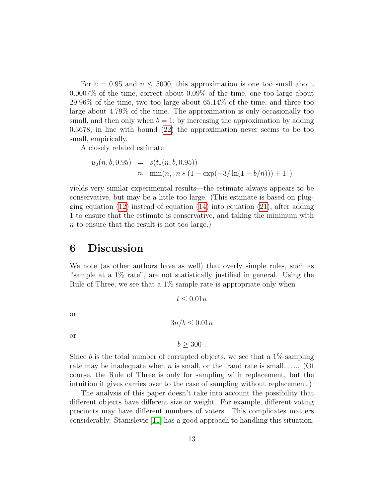For  $c = 0.95$  and  $n \leq 5000$ , this approximation is one too small about 0.0007% of the time, correct about 0.09% of the time, one too large about 29.96% of the time, two too large about 65.14% of the time, and three too large about 4.79% of the time. The approximation is only occasionally too small, and then only when  $b = 1$ ; by increasing the approximation by adding 0.3678, in line with bound (22) the approximation never seems to be too small, empirically.

A closely related estimate

$$
u_2(n, b, 0.95) = s(t_*(n, b, 0.95))
$$
  
\n
$$
\approx \min(n, \lceil n * (1 - \exp(-3/\ln(1 - b/n))) + 1 \rceil)
$$

yields very similar experimental results—the estimate always appears to be conservative, but may be a little too large. (This estimate is based on plugging equation  $(12)$  instead of equation  $(14)$  into equation  $(21)$ , after adding 1 to ensure that the estimate is conservative, and taking the minimum with n to ensure that the result is not too large.)

#### 6 Discussion

We note (as other authors have as well) that overly simple rules, such as "sample at a 1% rate", are not statistically justified in general. Using the Rule of Three, we see that a  $1\%$  sample rate is appropriate only when

$$
t \leq 0.01n
$$

or

$$
3n/b \le 0.01n
$$

or

$$
b \geq 300.
$$

Since b is the total number of corrupted objects, we see that a  $1\%$  sampling rate may be inadequate when n is small, or the fraud rate is small...... (Of course, the Rule of Three is only for sampling with replacement, but the intuition it gives carries over to the case of sampling without replacement.)

The analysis of this paper doesn't take into account the possibility that different objects have different size or weight. For example, different voting precincts may have different numbers of voters. This complicates matters considerably. Stanislevic [11] has a good approach to handling this situation.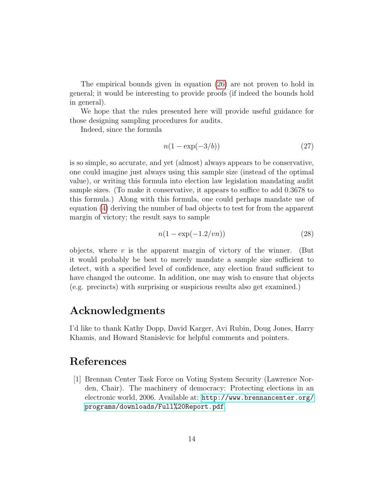The empirical bounds given in equation (26) are not proven to hold in general; it would be interesting to provide proofs (if indeed the bounds hold in general).

We hope that the rules presented here will provide useful guidance for those designing sampling procedures for audits.

Indeed, since the formula

$$
n(1 - \exp(-3/b))\tag{27}
$$

is so simple, so accurate, and yet (almost) always appears to be conservative, one could imagine just always using this sample size (instead of the optimal value), or writing this formula into election law legislation mandating audit sample sizes. (To make it conservative, it appears to suffice to add 0.3678 to this formula.) Along with this formula, one could perhaps mandate use of equation (4) deriving the number of bad objects to test for from the apparent margin of victory; the result says to sample

$$
n(1 - \exp(-1.2/vn))\tag{28}
$$

objects, where v is the apparent margin of victory of the winner. (But it would probably be best to merely mandate a sample size sufficient to detect, with a specified level of confidence, any election fraud sufficient to have changed the outcome. In addition, one may wish to ensure that objects (e.g. precincts) with surprising or suspicious results also get examined.)

### Acknowledgments

I'd like to thank Kathy Dopp, David Karger, Avi Rubin, Doug Jones, Harry Khamis, and Howard Stanislevic for helpful comments and pointers.

## References

[1] Brennan Center Task Force on Voting System Security (Lawrence Norden, Chair). The machinery of democracy: Protecting elections in an electronic world, 2006. Available at: [http://www.brennancenter.org/](http://www.brennancenter.org/programs/downloads/Full%20Report.pdf) [programs/downloads/Full%20Report.pdf](http://www.brennancenter.org/programs/downloads/Full%20Report.pdf).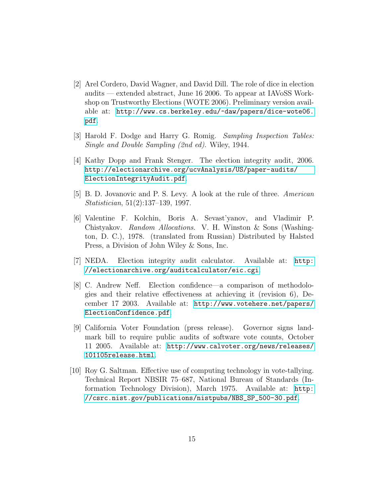- [2] Arel Cordero, David Wagner, and David Dill. The role of dice in election audits — extended abstract, June 16 2006. To appear at IAVoSS Workshop on Trustworthy Elections (WOTE 2006). Preliminary version available at: [http://www.cs.berkeley.edu/~daw/papers/dice-wote06.](http://www.cs.berkeley.edu/~daw/papers/dice-wote06.pdf) [pdf](http://www.cs.berkeley.edu/~daw/papers/dice-wote06.pdf).
- [3] Harold F. Dodge and Harry G. Romig. Sampling Inspection Tables: Single and Double Sampling (2nd ed). Wiley, 1944.
- [4] Kathy Dopp and Frank Stenger. The election integrity audit, 2006. [http://electionarchive.org/ucvAnalysis/US/paper-audits/](http://electionarchive.org/ucvAnalysis/US/paper-audits/ElectionIntegrityAudit.pdf) [ElectionIntegrityAudit.pdf](http://electionarchive.org/ucvAnalysis/US/paper-audits/ElectionIntegrityAudit.pdf).
- [5] B. D. Jovanovic and P. S. Levy. A look at the rule of three. American Statistician, 51(2):137–139, 1997.
- [6] Valentine F. Kolchin, Boris A. Sevast'yanov, and Vladimir P. Chistyakov. Random Allocations. V. H. Winston & Sons (Washington, D. C.), 1978. (translated from Russian) Distributed by Halsted Press, a Division of John Wiley & Sons, Inc.
- [7] NEDA. Election integrity audit calculator. Available at: [http:](http://electionarchive.org/auditcalculator/eic.cgi) [//electionarchive.org/auditcalculator/eic.cgi](http://electionarchive.org/auditcalculator/eic.cgi).
- [8] C. Andrew Neff. Election confidence—a comparison of methodologies and their relative effectiveness at achieving it (revision 6), December 17 2003. Available at: [http://www.votehere.net/papers/](http://www.votehere.net/papers/ElectionConfidence.pdf) [ElectionConfidence.pdf](http://www.votehere.net/papers/ElectionConfidence.pdf).
- [9] California Voter Foundation (press release). Governor signs landmark bill to require public audits of software vote counts, October 11 2005. Available at: [http://www.calvoter.org/news/releases/](http://www.calvoter.org/news/releases/101105release.html) [101105release.html](http://www.calvoter.org/news/releases/101105release.html).
- [10] Roy G. Saltman. Effective use of computing technology in vote-tallying. Technical Report NBSIR 75–687, National Bureau of Standards (Information Technology Division), March 1975. Available at: [http:](http://csrc.nist.gov/publications/nistpubs/NBS_SP_500-30.pdf) [//csrc.nist.gov/publications/nistpubs/NBS\\_SP\\_500-30.pdf](http://csrc.nist.gov/publications/nistpubs/NBS_SP_500-30.pdf).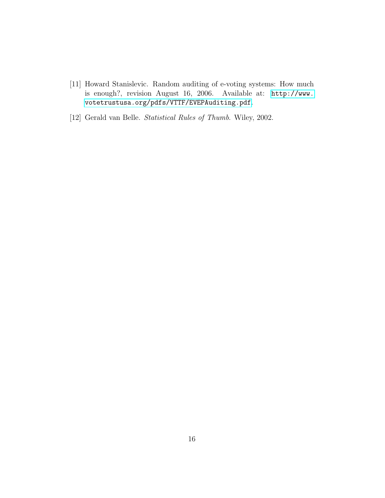- [11] Howard Stanislevic. Random auditing of e-voting systems: How much is enough?, revision August 16, 2006. Available at: [http://www.](http://www.votetrustusa.org/pdfs/VTTF/EVEPAuditing.pdf) [votetrustusa.org/pdfs/VTTF/EVEPAuditing.pdf](http://www.votetrustusa.org/pdfs/VTTF/EVEPAuditing.pdf).
- [12] Gerald van Belle. Statistical Rules of Thumb. Wiley, 2002.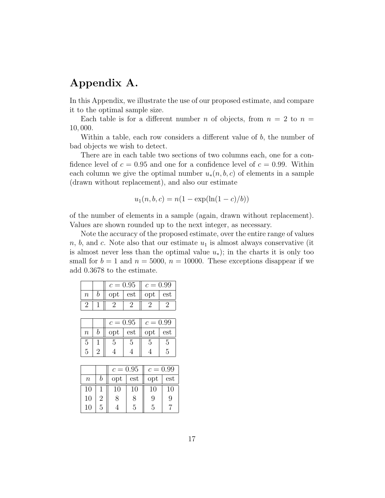## Appendix A.

In this Appendix, we illustrate the use of our proposed estimate, and compare it to the optimal sample size.

Each table is for a different number n of objects, from  $n = 2$  to  $n =$ 10, 000.

Within a table, each row considers a different value of  $b$ , the number of bad objects we wish to detect.

There are in each table two sections of two columns each, one for a confidence level of  $c = 0.95$  and one for a confidence level of  $c = 0.99$ . Within each column we give the optimal number  $u_*(n, b, c)$  of elements in a sample (drawn without replacement), and also our estimate

$$
u_1(n, b, c) = n(1 - \exp(\ln(1 - c)/b))
$$

of the number of elements in a sample (again, drawn without replacement). Values are shown rounded up to the next integer, as necessary.

Note the accuracy of the proposed estimate, over the entire range of values  $n, b$ , and c. Note also that our estimate  $u_1$  is almost always conservative (it is almost never less than the optimal value  $u_*$ ); in the charts it is only too small for  $b = 1$  and  $n = 5000$ ,  $n = 10000$ . These exceptions disappear if we add 0.3678 to the estimate.

| opt<br>opt<br>est<br>n |     |
|------------------------|-----|
|                        | est |
|                        |     |

|         | $c = 0.95$ |     | $c = 0.99$ |     |
|---------|------------|-----|------------|-----|
| $\it n$ | opt        | est | opt        | est |
| 5       |            | h   |            |     |
| 5       |            |     |            |     |

|        |   | $c = 0.95$ |     | $c = 0.99$ |     |
|--------|---|------------|-----|------------|-----|
| $\, n$ | n | opt        | est | opt        | est |
| 10     |   | 10         | 10  | 10         | 10  |
| 10     | 2 | 8          | 8   | 9          | 9   |
| 10     | 5 |            | 5   | 5          |     |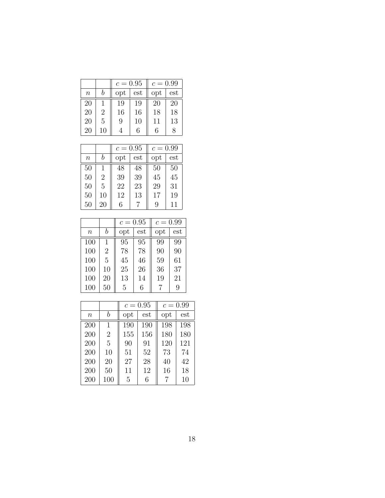|         |                | $c = 0.95$ |                             |     |     | $c = 0.99$ |  |
|---------|----------------|------------|-----------------------------|-----|-----|------------|--|
| $\it n$ |                | opt        | $\mathop{\rm est}\nolimits$ | opt | est |            |  |
| 20      |                | 19         | 19                          | 20  | 20  |            |  |
| 20      | $\overline{2}$ | 16         | 16                          | 18  | 18  |            |  |
| 20      | 5              | 9          | 10                          | 11  | 13  |            |  |
| 20      | 10             |            | 6                           | 6   | 8   |            |  |

|        |                | $c = 0.95$ |     | $c = 0.99$ |     |
|--------|----------------|------------|-----|------------|-----|
| $\, n$ | b              | opt        | est | opt        | est |
| 50     | 1              | 48         | 48  | 50         | 50  |
| 50     | $\overline{2}$ | 39         | 39  | 45         | 45  |
| 50     | 5              | 22         | 23  | 29         | 31  |
| 50     | 10             | 12         | 13  | 17         | 19  |
| 50     | 20             | 6          |     | 9          | 11  |

|        |                | $c = 0.95$ |     | $c = 0.99$ |     |
|--------|----------------|------------|-----|------------|-----|
| $\, n$ | b              | opt        | est | opt        | est |
| 100    | 1              | 95         | 95  | 99         | 99  |
| 100    | $\overline{2}$ | 78         | 78  | 90         | 90  |
| 100    | 5              | 45         | 46  | 59         | 61  |
| 100    | 10             | 25         | 26  | 36         | 37  |
| 100    | 20             | 13         | 14  | 19         | 21  |
| 100    | 50             | 5          | 6   |            | 9   |

|                  |                | $c = 0.95$ |     | $c = 0.99$ |     |
|------------------|----------------|------------|-----|------------|-----|
| $\boldsymbol{n}$ | b              | opt        | est | opt        | est |
| 200              | 1              | 190        | 190 | 198        | 198 |
| 200              | $\overline{2}$ | 155        | 156 | 180        | 180 |
| 200              | 5              | 90         | 91  | 120        | 121 |
| 200              | 10             | 51         | 52  | 73         | 74  |
| 200              | 20             | 27         | 28  | 40         | 42  |
| 200              | 50             | 11         | 12  | 16         | 18  |
| 200              | 100            | 5          | 6   | 7          | 10  |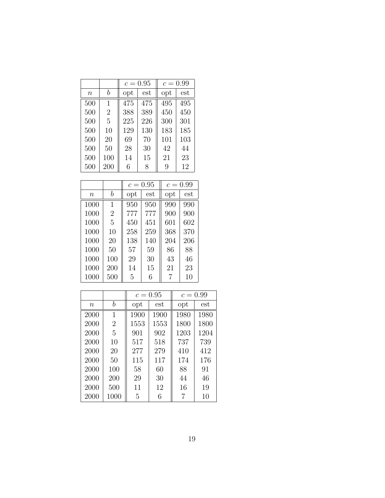|        |                | $c = 0.95$   |     | $c = 0.99$ |              |
|--------|----------------|--------------|-----|------------|--------------|
| $\, n$ | h              | $_{\rm opt}$ | est | opt        | $_{\rm est}$ |
| 500    | 1              | 475          | 475 | 495        | 495          |
| 500    | $\overline{2}$ | 388          | 389 | 450        | 450          |
| 500    | 5              | 225          | 226 | 300        | 301          |
| 500    | 10             | 129          | 130 | 183        | 185          |
| 500    | 20             | 69           | 70  | 101        | 103          |
| 500    | 50             | 28           | 30  | 42         | 44           |
| 500    | 100            | 14           | 15  | 21         | 23           |
| 500    | 200            | 6            | 8   | 9          | 12           |

|        |                |              | $c = 0.95$ |     | $c = 0.99$ |  |
|--------|----------------|--------------|------------|-----|------------|--|
| $\, n$ | b              | $_{\rm opt}$ | est        | opt | est        |  |
| 1000   | 1              | 950          | 950        | 990 | 990        |  |
| 1000   | $\overline{2}$ | 777          | 777        | 900 | 900        |  |
| 1000   | 5              | 450          | 451        | 601 | 602        |  |
| 1000   | 10             | 258          | 259        | 368 | 370        |  |
| 1000   | 20             | 138          | 140        | 204 | 206        |  |
| 1000   | 50             | 57           | 59         | 86  | 88         |  |
| 1000   | 100            | 29           | 30         | 43  | 46         |  |
| 1000   | 200            | 14           | 15         | 21  | 23         |  |
| 1000   | 500            | 5            | 6          | 7   | 10         |  |

|        |                |      | $c = 0.95$ | $c = 0.99$ |      |
|--------|----------------|------|------------|------------|------|
| $\, n$ | b              | opt  | est        | opt        | est  |
| 2000   | 1              | 1900 | 1900       | 1980       | 1980 |
| 2000   | $\overline{2}$ | 1553 | 1553       | 1800       | 1800 |
| 2000   | 5              | 901  | 902        | 1203       | 1204 |
| 2000   | 10             | 517  | 518        | 737        | 739  |
| 2000   | 20             | 277  | 279        | 410        | 412  |
| 2000   | 50             | 115  | 117        | 174        | 176  |
| 2000   | 100            | 58   | 60         | 88         | 91   |
| 2000   | 200            | 29   | 30         | 44         | 46   |
| 2000   | 500            | 11   | 12         | 16         | 19   |
| 2000   | 1000           | 5    | 6          | 7          | 10   |